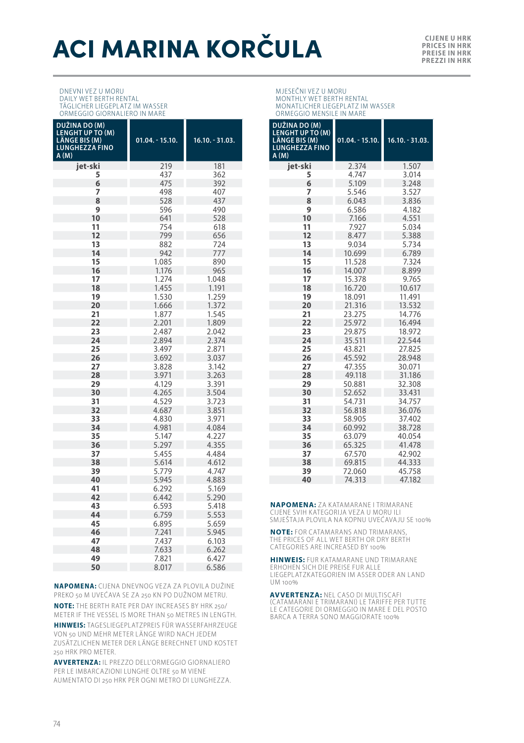# **ACI MARINA KORČULA**

**PRICES IN HRK PREISE IN HRK PREZZI IN HRK**

#### DNEVNI VEZ U MORU DAILY WET BERTH RENTAL TÄGLICHER LIEGEPLATZ IM WASSER ORMEGGIO GIORNALIERO IN MARE

| 219<br>181<br>jet-ski<br>5<br>437<br>362<br>6<br>475<br>392<br>7<br>498<br>407<br>8<br>437<br>528<br>9<br>596<br>490<br>10<br>641<br>528<br>754<br>11<br>618<br>12<br>799<br>656<br>13<br>882<br>724<br>14<br>942<br>777<br>15<br>890<br>1.085<br>16<br>1.176<br>965<br>17<br>1.274<br>1.048<br>18<br>1.455<br>1.191<br>19<br>1.530<br>1.259<br>20<br>1.372<br>1.666<br>21<br>1.877<br>1.545<br>22<br>2.201<br>1.809<br>23<br>2.487<br>2.042<br>24<br>2.894<br>2.374<br>25<br>3.497<br>2.871<br>26<br>3.692<br>3.037<br>27<br>3.828<br>3.142<br>28<br>3.971<br>3.263<br>29<br>3.391<br>4.129<br>30<br>3.504<br>4.265<br>31<br>4.529<br>3.723<br>32<br>4.687<br>3.851<br>33<br>4.830<br>3.971<br>34<br>4.981<br>4.084<br>35<br>5.147<br>4.227<br>36<br>5.297<br>4.355<br>37<br>5.455<br>4.484<br>38<br>5.614<br>4.612<br>39<br>5.779<br>4.747<br>40<br>5.945<br>4.883<br>41<br>6.292<br>5.169<br>42<br>6.442<br>5.290<br>43<br>6.593<br>5.418<br>44<br>5.553<br>6.759<br>45<br>6.895<br>5.659<br>46<br>5.945<br>7.241<br>47<br>7.437<br>6.103<br>48<br>7.633<br>6.262<br>49<br>7.821<br>6.427 | DUŽINA DO (M)<br><b>LENGHT UP TO (M)</b><br>LÄNGE BIS (M)<br><b>LUNGHEZZA FINO</b><br>A(M) | $01.04. - 15.10.$ | 16.10. - 31.03. |
|----------------------------------------------------------------------------------------------------------------------------------------------------------------------------------------------------------------------------------------------------------------------------------------------------------------------------------------------------------------------------------------------------------------------------------------------------------------------------------------------------------------------------------------------------------------------------------------------------------------------------------------------------------------------------------------------------------------------------------------------------------------------------------------------------------------------------------------------------------------------------------------------------------------------------------------------------------------------------------------------------------------------------------------------------------------------------------------------|--------------------------------------------------------------------------------------------|-------------------|-----------------|
|                                                                                                                                                                                                                                                                                                                                                                                                                                                                                                                                                                                                                                                                                                                                                                                                                                                                                                                                                                                                                                                                                              |                                                                                            |                   |                 |
|                                                                                                                                                                                                                                                                                                                                                                                                                                                                                                                                                                                                                                                                                                                                                                                                                                                                                                                                                                                                                                                                                              |                                                                                            |                   |                 |
|                                                                                                                                                                                                                                                                                                                                                                                                                                                                                                                                                                                                                                                                                                                                                                                                                                                                                                                                                                                                                                                                                              |                                                                                            |                   |                 |
|                                                                                                                                                                                                                                                                                                                                                                                                                                                                                                                                                                                                                                                                                                                                                                                                                                                                                                                                                                                                                                                                                              |                                                                                            |                   |                 |
|                                                                                                                                                                                                                                                                                                                                                                                                                                                                                                                                                                                                                                                                                                                                                                                                                                                                                                                                                                                                                                                                                              |                                                                                            |                   |                 |
|                                                                                                                                                                                                                                                                                                                                                                                                                                                                                                                                                                                                                                                                                                                                                                                                                                                                                                                                                                                                                                                                                              |                                                                                            |                   |                 |
|                                                                                                                                                                                                                                                                                                                                                                                                                                                                                                                                                                                                                                                                                                                                                                                                                                                                                                                                                                                                                                                                                              |                                                                                            |                   |                 |
|                                                                                                                                                                                                                                                                                                                                                                                                                                                                                                                                                                                                                                                                                                                                                                                                                                                                                                                                                                                                                                                                                              |                                                                                            |                   |                 |
|                                                                                                                                                                                                                                                                                                                                                                                                                                                                                                                                                                                                                                                                                                                                                                                                                                                                                                                                                                                                                                                                                              |                                                                                            |                   |                 |
|                                                                                                                                                                                                                                                                                                                                                                                                                                                                                                                                                                                                                                                                                                                                                                                                                                                                                                                                                                                                                                                                                              |                                                                                            |                   |                 |
|                                                                                                                                                                                                                                                                                                                                                                                                                                                                                                                                                                                                                                                                                                                                                                                                                                                                                                                                                                                                                                                                                              |                                                                                            |                   |                 |
|                                                                                                                                                                                                                                                                                                                                                                                                                                                                                                                                                                                                                                                                                                                                                                                                                                                                                                                                                                                                                                                                                              |                                                                                            |                   |                 |
|                                                                                                                                                                                                                                                                                                                                                                                                                                                                                                                                                                                                                                                                                                                                                                                                                                                                                                                                                                                                                                                                                              |                                                                                            |                   |                 |
|                                                                                                                                                                                                                                                                                                                                                                                                                                                                                                                                                                                                                                                                                                                                                                                                                                                                                                                                                                                                                                                                                              |                                                                                            |                   |                 |
|                                                                                                                                                                                                                                                                                                                                                                                                                                                                                                                                                                                                                                                                                                                                                                                                                                                                                                                                                                                                                                                                                              |                                                                                            |                   |                 |
|                                                                                                                                                                                                                                                                                                                                                                                                                                                                                                                                                                                                                                                                                                                                                                                                                                                                                                                                                                                                                                                                                              |                                                                                            |                   |                 |
|                                                                                                                                                                                                                                                                                                                                                                                                                                                                                                                                                                                                                                                                                                                                                                                                                                                                                                                                                                                                                                                                                              |                                                                                            |                   |                 |
|                                                                                                                                                                                                                                                                                                                                                                                                                                                                                                                                                                                                                                                                                                                                                                                                                                                                                                                                                                                                                                                                                              |                                                                                            |                   |                 |
|                                                                                                                                                                                                                                                                                                                                                                                                                                                                                                                                                                                                                                                                                                                                                                                                                                                                                                                                                                                                                                                                                              |                                                                                            |                   |                 |
|                                                                                                                                                                                                                                                                                                                                                                                                                                                                                                                                                                                                                                                                                                                                                                                                                                                                                                                                                                                                                                                                                              |                                                                                            |                   |                 |
|                                                                                                                                                                                                                                                                                                                                                                                                                                                                                                                                                                                                                                                                                                                                                                                                                                                                                                                                                                                                                                                                                              |                                                                                            |                   |                 |
|                                                                                                                                                                                                                                                                                                                                                                                                                                                                                                                                                                                                                                                                                                                                                                                                                                                                                                                                                                                                                                                                                              |                                                                                            |                   |                 |
|                                                                                                                                                                                                                                                                                                                                                                                                                                                                                                                                                                                                                                                                                                                                                                                                                                                                                                                                                                                                                                                                                              |                                                                                            |                   |                 |
|                                                                                                                                                                                                                                                                                                                                                                                                                                                                                                                                                                                                                                                                                                                                                                                                                                                                                                                                                                                                                                                                                              |                                                                                            |                   |                 |
|                                                                                                                                                                                                                                                                                                                                                                                                                                                                                                                                                                                                                                                                                                                                                                                                                                                                                                                                                                                                                                                                                              |                                                                                            |                   |                 |
|                                                                                                                                                                                                                                                                                                                                                                                                                                                                                                                                                                                                                                                                                                                                                                                                                                                                                                                                                                                                                                                                                              |                                                                                            |                   |                 |
|                                                                                                                                                                                                                                                                                                                                                                                                                                                                                                                                                                                                                                                                                                                                                                                                                                                                                                                                                                                                                                                                                              |                                                                                            |                   |                 |
|                                                                                                                                                                                                                                                                                                                                                                                                                                                                                                                                                                                                                                                                                                                                                                                                                                                                                                                                                                                                                                                                                              |                                                                                            |                   |                 |
|                                                                                                                                                                                                                                                                                                                                                                                                                                                                                                                                                                                                                                                                                                                                                                                                                                                                                                                                                                                                                                                                                              |                                                                                            |                   |                 |
|                                                                                                                                                                                                                                                                                                                                                                                                                                                                                                                                                                                                                                                                                                                                                                                                                                                                                                                                                                                                                                                                                              |                                                                                            |                   |                 |
|                                                                                                                                                                                                                                                                                                                                                                                                                                                                                                                                                                                                                                                                                                                                                                                                                                                                                                                                                                                                                                                                                              |                                                                                            |                   |                 |
|                                                                                                                                                                                                                                                                                                                                                                                                                                                                                                                                                                                                                                                                                                                                                                                                                                                                                                                                                                                                                                                                                              |                                                                                            |                   |                 |
|                                                                                                                                                                                                                                                                                                                                                                                                                                                                                                                                                                                                                                                                                                                                                                                                                                                                                                                                                                                                                                                                                              |                                                                                            |                   |                 |
|                                                                                                                                                                                                                                                                                                                                                                                                                                                                                                                                                                                                                                                                                                                                                                                                                                                                                                                                                                                                                                                                                              |                                                                                            |                   |                 |
|                                                                                                                                                                                                                                                                                                                                                                                                                                                                                                                                                                                                                                                                                                                                                                                                                                                                                                                                                                                                                                                                                              |                                                                                            |                   |                 |
|                                                                                                                                                                                                                                                                                                                                                                                                                                                                                                                                                                                                                                                                                                                                                                                                                                                                                                                                                                                                                                                                                              |                                                                                            |                   |                 |
|                                                                                                                                                                                                                                                                                                                                                                                                                                                                                                                                                                                                                                                                                                                                                                                                                                                                                                                                                                                                                                                                                              |                                                                                            |                   |                 |
|                                                                                                                                                                                                                                                                                                                                                                                                                                                                                                                                                                                                                                                                                                                                                                                                                                                                                                                                                                                                                                                                                              |                                                                                            |                   |                 |
|                                                                                                                                                                                                                                                                                                                                                                                                                                                                                                                                                                                                                                                                                                                                                                                                                                                                                                                                                                                                                                                                                              |                                                                                            |                   |                 |
|                                                                                                                                                                                                                                                                                                                                                                                                                                                                                                                                                                                                                                                                                                                                                                                                                                                                                                                                                                                                                                                                                              |                                                                                            |                   |                 |
|                                                                                                                                                                                                                                                                                                                                                                                                                                                                                                                                                                                                                                                                                                                                                                                                                                                                                                                                                                                                                                                                                              |                                                                                            |                   |                 |
|                                                                                                                                                                                                                                                                                                                                                                                                                                                                                                                                                                                                                                                                                                                                                                                                                                                                                                                                                                                                                                                                                              |                                                                                            |                   |                 |
|                                                                                                                                                                                                                                                                                                                                                                                                                                                                                                                                                                                                                                                                                                                                                                                                                                                                                                                                                                                                                                                                                              |                                                                                            |                   |                 |
|                                                                                                                                                                                                                                                                                                                                                                                                                                                                                                                                                                                                                                                                                                                                                                                                                                                                                                                                                                                                                                                                                              |                                                                                            |                   |                 |
|                                                                                                                                                                                                                                                                                                                                                                                                                                                                                                                                                                                                                                                                                                                                                                                                                                                                                                                                                                                                                                                                                              | 50                                                                                         | 8.017             | 6.586           |

**NAPOMENA:** CIJENA DNEVNOG VEZA ZA PLOVILA DUŽINE PREKO 50 M UVEĆAVA SE ZA 250 KN PO DUŽNOM METRU. **NOTE:** THE BERTH RATE PER DAY INCREASES BY HRK 250/ METER IF THE VESSEL IS MORE THAN 50 METRES IN LENGTH. **HINWEIS:** TAGESLIEGEPLATZPREIS FÜR WASSERFAHRZEUGE VON 50 UND MEHR METER LÄNGE WIRD NACH JEDEM ZUSÄTZLICHEN METER DER LÄNGE BERECHNET UND KOSTET 250 HRK PRO METER.

**AVVERTENZA:** IL PREZZO DELL'ORMEGGIO GIORNALIERO PER LE IMBARCAZIONI LUNGHE OLTRE 50 M VIENE AUMENTATO DI 250 HRK PER OGNI METRO DI LUNGHEZZA.

#### MJESEČNI VEZ U MORU MONTHLY WET BERTH RENTAL MONATLICHER LIEGEPLATZ IM WASSER ORMEGGIO MENSILE IN MARE

| DUŽINA DO (M)<br><b>LENGHT UP TO (M)</b><br>LÄNGE BIS (M)<br><b>LUNGHEZZA FINO</b><br>A(M) | $01.04 - 15.10.$ | $16.10 - 31.03$ . |
|--------------------------------------------------------------------------------------------|------------------|-------------------|
| jet-ski                                                                                    | 2.374            | 1.507             |
| 5                                                                                          | 4.747            | 3.014             |
| 6                                                                                          | 5.109            | 3.248             |
| 7                                                                                          | 5.546            | 3.527             |
| 8                                                                                          | 6.043            | 3.836             |
| 9                                                                                          | 6.586            | 4.182             |
| 10                                                                                         | 7.166            | 4.551             |
| 11                                                                                         | 7.927            | 5.034             |
| 12                                                                                         | 8.477            | 5.388             |
| 13                                                                                         | 9.034            | 5.734             |
| 14                                                                                         | 10.699           | 6.789             |
| 15                                                                                         | 11.528           | 7.324             |
| 16                                                                                         | 14.007           | 8.899             |
| 17                                                                                         | 15.378           | 9.765             |
| 18                                                                                         | 16.720           | 10.617            |
| 19                                                                                         | 18.091           | 11.491            |
| 20                                                                                         | 21.316           | 13.532            |
| 21                                                                                         | 23.275           | 14.776            |
| 22                                                                                         | 25.972           | 16.494            |
| 23                                                                                         | 29.875           | 18.972            |
| 24                                                                                         | 35.511           | 22.544            |
| 25                                                                                         | 43.821           | 27.825            |
| 26                                                                                         | 45.592           | 28.948            |
| 27                                                                                         | 47.355           | 30.071            |
| 28                                                                                         | 49.118           | 31.186            |
| 29                                                                                         | 50.881           | 32.308            |
| 30                                                                                         | 52.652           | 33.431            |
| 31                                                                                         | 54.731           | 34.757            |
| 32                                                                                         | 56.818           | 36.076            |
| 33                                                                                         | 58.905           | 37.402            |
| 34                                                                                         | 60.992           | 38.728            |
| 35                                                                                         | 63.079           | 40.054            |
| 36                                                                                         | 65.325           | 41.478            |
| 37                                                                                         | 67.570           | 42.902<br>44.333  |
| 38                                                                                         | 69.815           | 45.758            |
| 39<br>40                                                                                   | 72.060<br>74.313 | 47.182            |
|                                                                                            |                  |                   |

**NAPOMENA:** ZA KATAMARANE I TRIMARANE CIJENE SVIH KATEGORIJA VEZA U MORU ILI SMJEŠTAJA PLOVILA NA KOPNU UVEĆAVAJU SE 100%

**NOTE:** FOR CATAMARANS AND TRIMARANS, THE PRICES OF ALL WET BERTH OR DRY BERTH CATEGORIES ARE INCREASED BY 100%

**HINWEIS:** FUR KATAMARANE UND TRIMARANE ERHOHEN SICH DIE PREISE FUR ALLE LIEGEPLATZKATEGORIEN IM ASSER ODER AN LAND UM 100%

**AVVERTENZA:** NEL CASO DI MULTISCAFI (CATAMARANI E TRIMARANI) LE TARIFFE PER TUT TE LE CATEGORIE DI ORMEGGIO IN MARE E DEL POSTO BARCA A TERRA SONO MAGGIORATE 100%